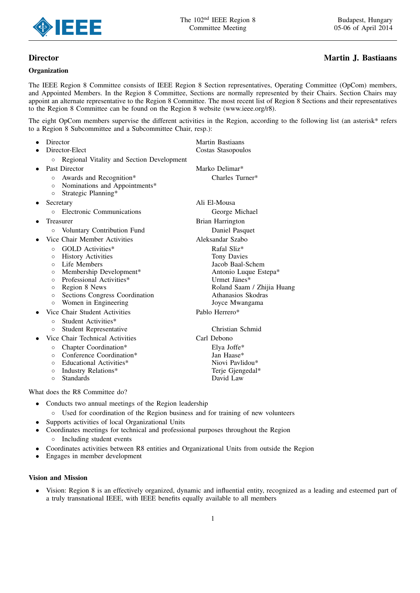

# **Organization**

# Director Martin J. Bastiaans

The IEEE Region 8 Committee consists of IEEE Region 8 Section representatives, Operating Committee (OpCom) members, and Appointed Members. In the Region 8 Committee, Sections are normally represented by their Chairs. Section Chairs may appoint an alternate representative to the Region 8 Committee. The most recent list of Region 8 Sections and their representatives to the Region 8 Committee can be found on the Region 8 website (www.ieee.org/r8).

The eight OpCom members supervise the different activities in the Region, according to the following list (an asterisk\* refers to a Region 8 Subcommittee and a Subcommittee Chair, resp.):

| Director                                                                                                                                                                                                                                                                                                                                                          | <b>Martin Bastiaans</b>                                                                                                                                                         |  |  |  |
|-------------------------------------------------------------------------------------------------------------------------------------------------------------------------------------------------------------------------------------------------------------------------------------------------------------------------------------------------------------------|---------------------------------------------------------------------------------------------------------------------------------------------------------------------------------|--|--|--|
| Director-Elect                                                                                                                                                                                                                                                                                                                                                    | Costas Stasopoulos                                                                                                                                                              |  |  |  |
| Regional Vitality and Section Development<br>$\circ$                                                                                                                                                                                                                                                                                                              |                                                                                                                                                                                 |  |  |  |
| Past Director                                                                                                                                                                                                                                                                                                                                                     | Marko Delimar*                                                                                                                                                                  |  |  |  |
| Awards and Recognition*<br>$\circ$<br>Nominations and Appointments*<br>$\circ$<br>Strategic Planning*<br>$\circ$                                                                                                                                                                                                                                                  | Charles Turner*                                                                                                                                                                 |  |  |  |
| Secretary                                                                                                                                                                                                                                                                                                                                                         | Ali El-Mousa                                                                                                                                                                    |  |  |  |
| Electronic Communications<br>$\circ$                                                                                                                                                                                                                                                                                                                              | George Michael                                                                                                                                                                  |  |  |  |
| Treasurer                                                                                                                                                                                                                                                                                                                                                         | Brian Harrington                                                                                                                                                                |  |  |  |
| Voluntary Contribution Fund<br>$\circ$                                                                                                                                                                                                                                                                                                                            | Daniel Pasquet                                                                                                                                                                  |  |  |  |
| Vice Chair Member Activities                                                                                                                                                                                                                                                                                                                                      | Aleksandar Szabo                                                                                                                                                                |  |  |  |
| <b>GOLD</b> Activities*<br>$\circ$<br><b>History Activities</b><br>$\circ$<br>Life Members<br>$\circ$<br>Membership Development*<br>$\circ$<br>Professional Activities*<br>$\circ$<br>Region 8 News<br>$\circ$<br>Sections Congress Coordination<br>$\circ$<br>Women in Engineering<br>$\circ$<br>Vice Chair Student Activities<br>Student Activities*<br>$\circ$ | Rafal Sliz*<br>Tony Davies<br>Jacob Baal-Schem<br>Antonio Luque Estepa*<br>Urmet Jänes*<br>Roland Saam / Zhijia Huang<br>Athanasios Skodras<br>Joyce Mwangama<br>Pablo Herrero* |  |  |  |
| <b>Student Representative</b><br>$\circ$                                                                                                                                                                                                                                                                                                                          | Christian Schmid                                                                                                                                                                |  |  |  |
| Vice Chair Technical Activities<br>Chapter Coordination*<br>$\circ$<br>Conference Coordination*<br>$\circ$<br>Educational Activities*<br>$\circ$<br>Industry Relations*<br>$\circ$<br><b>Standards</b><br>$\circ$                                                                                                                                                 | Carl Debono<br>Elya Joffe*<br>Jan Haase*<br>Niovi Pavlidou*<br>Terje Gjengedal*<br>David Law                                                                                    |  |  |  |
| What does the R8 Committee do?                                                                                                                                                                                                                                                                                                                                    |                                                                                                                                                                                 |  |  |  |

- *•* Conducts two annual meetings of the Region leadership
	- *◦* Used for coordination of the Region business and for training of new volunteers
- *•* Supports activities of local Organizational Units
- *•* Coordinates meetings for technical and professional purposes throughout the Region *◦* Including student events
- *•* Coordinates activities between R8 entities and Organizational Units from outside the Region
- *•* Engages in member development

# Vision and Mission

• Vision: Region 8 is an effectively organized, dynamic and influential entity, recognized as a leading and esteemed part of a truly transnational IEEE, with IEEE benefits equally available to all members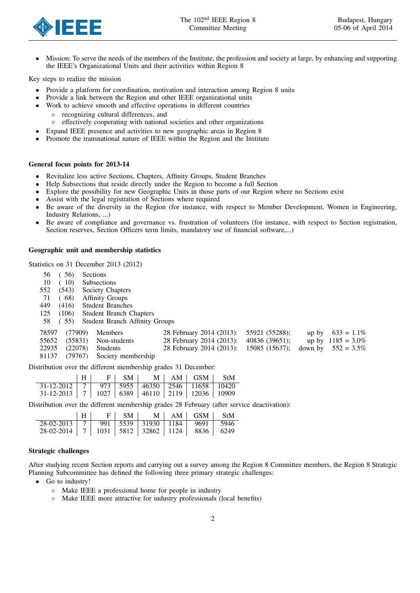

*•* Mission: To serve the needs of the members of the Institute, the profession and society at large, by enhancing and supporting the IEEE's Organizational Units and their activities within Region 8

Key steps to realize the mission

- *•* Provide a platform for coordination, motivation and interaction among Region 8 units
- *•* Provide a link between the Region and other IEEE organizational units
- Work to achieve smooth and effective operations in different countries
	- *◦* recognizing cultural differences, and
	- *◦* effectively cooperating with national societies and other organizations
- Expand IEEE presence and activities to new geographic areas in Region 8
- *•* Promote the transnational nature of IEEE within the Region and the Institute

#### General focus points for 2013-14

- *•* Revitalize less active Sections, Chapters, Affinity Groups, Student Branches
- *•* Help Subsections that reside directly under the Region to become a full Section
- Explore the possibility for new Geographic Units in those parts of our Region where no Sections exist
- *•* Assist with the legal registration of Sections where required
- *•* Be aware of the diversity in the Region (for instance, with respect to Member Development, Women in Engineering, Industry Relations, ...)
- Be aware of compliance and governance vs. frustration of volunteers (for instance, with respect to Section registration, Section reserves, Section Officers term limits, mandatory use of financial software,...)

 $(2013)$ : 55921 (55288); up by 633 = 1.1% (2013): 40836 (39651); up by  $1185 = 3.0\%$  $(2013)$ : 15085 (15637); down by 552 = 3.5%

# Geographic unit and membership statistics

Statistics on 31 December 2013 (2012)

| 56    | (56)    | Sections |                                                                                 |                  |
|-------|---------|----------|---------------------------------------------------------------------------------|------------------|
| 10    | (10)    |          | <b>Subsections</b>                                                              |                  |
| 552   | (543)   |          | Society Chapters                                                                |                  |
| 71    | (68)    |          | <b>Affinity Groups</b>                                                          |                  |
| 449   | (416)   |          | <b>Student Branches</b>                                                         |                  |
| 125   | (106)   |          | <b>Student Branch Chapters</b>                                                  |                  |
| 58    | (55)    |          | <b>Student Branch Affinity Groups</b>                                           |                  |
| 78597 | (77909) |          | <b>Members</b>                                                                  | 28 February 2014 |
| 55652 | (55831) |          | Non-students                                                                    | 28 February 2014 |
| 22935 | (22078) |          | <b>Students</b>                                                                 | 28 February 2014 |
| 81137 | (79767) |          | Society membership                                                              |                  |
|       |         |          | tatullandi an cannon dha ciliffeanach an cuideachtar agus dan 91. Deachdaireach |                  |

Distribution over the different membership grades 31 December:

|                                                               |  | $\sim$ SM $\pm$ |  | $M \mid AM \mid GSM \mid SH$ |  |
|---------------------------------------------------------------|--|-----------------|--|------------------------------|--|
| $31-12-2012$   7   973   5955   46350   2546   11658   10420  |  |                 |  |                              |  |
| $31-12-2013$   7   1027   6389   46110   2119   12036   10909 |  |                 |  |                              |  |

Distribution over the different membership grades 28 February (after service deactivation):

|                                                            |  | FI SMI |  | $M \mid AM \mid GSM \mid SH$ |  |
|------------------------------------------------------------|--|--------|--|------------------------------|--|
| $28-02-2013$   7   991   5539   31930   1184   9691   5946 |  |        |  |                              |  |
| 28-02-2014   7   1031   5812   32862   1124   8836   6249  |  |        |  |                              |  |

#### Strategic challenges

After studying recent Section reports and carrying out a survey among the Region 8 Committee members, the Region 8 Strategic Planning Subcommittee has defined the following three primary strategic challenges:

- *•* Go to industry!
	- *◦* Make IEEE a professional home for people in industry
	- *◦* Make IEEE more attractive for industry professionals (local benefits)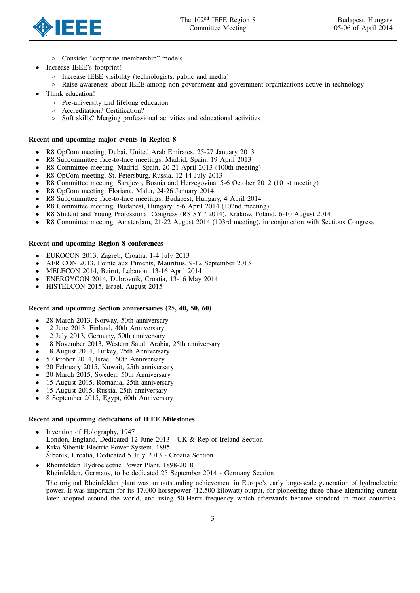

- *◦* Consider "corporate membership" models
- *•* Increase IEEE's footprint!
	- *◦* Increase IEEE visibility (technologists, public and media)
	- *◦* Raise awareness about IEEE among non-government and government organizations active in technology
- *•* Think education!
	- *◦* Pre-university and lifelong education
	- *◦* Accreditation? Certification?
	- *◦* Soft skills? Merging professional activities and educational activities

### Recent and upcoming major events in Region 8

- *•* R8 OpCom meeting, Dubai, United Arab Emirates, 25-27 January 2013
- *•* R8 Subcommittee face-to-face meetings, Madrid, Spain, 19 April 2013
- **•** R8 Committee meeting, Madrid, Spain, 20-21 April 2013 (100th meeting)<br>**•** R8 OpCom meeting, St. Petersburg, Russia, 12-14 July 2013
- *•* R8 OpCom meeting, St. Petersburg, Russia, 12-14 July 2013
- *•* R8 Committee meeting, Sarajevo, Bosnia and Herzegovina, 5-6 October 2012 (101st meeting)
- *•* R8 OpCom meeting, Floriana, Malta, 24-26 January 2014
- **•** R8 Subcommittee face-to-face meetings, Budapest, Hungary, 4 April 2014<br>**•** R8 Committee meeting, Budapest, Hungary, 5-6 April 2014 (102nd meeting
- *•* R8 Committee meeting, Budapest, Hungary, 5-6 April 2014 (102nd meeting)
- **•** R8 Student and Young Professional Congress (R8 SYP 2014), Krakow, Poland, 6-10 August 2014<br> **•** R8 Committee meeting Amsterdam 21-22 August 2014 (103rd meeting) in conjunction with Sec
- *•* R8 Committee meeting, Amsterdam, 21-22 August 2014 (103rd meeting), in conjunction with Sections Congress

### Recent and upcoming Region 8 conferences

- *•* EUROCON 2013, Zagreb, Croatia, 1-4 July 2013
- *•* AFRICON 2013, Pointe aux Piments, Mauritius, 9-12 September 2013
- *•* MELECON 2014, Beirut, Lebanon, 13-16 April 2014
- *•* ENERGYCON 2014, Dubrovnik, Croatia, 13-16 May 2014
- *•* HISTELCON 2015, Israel, August 2015

#### Recent and upcoming Section anniversaries (25, 40, 50, 60)

- 28 March 2013, Norway, 50th anniversary<br>• 12 June 2013 Finland 40th Anniversary
- 12 June 2013, Finland, 40th Anniversary<br>• 12 July 2013, Germany, 50th anniversary
- *•* 12 July 2013, Germany, 50th anniversary
- *•* 18 November 2013, Western Saudi Arabia, 25th anniversary
- *•* 18 August 2014, Turkey, 25th Anniversary
- 5 October 2014, Israel, 60th Anniversary<br>• 20 February 2015, Kuwait, 25th annivers
- *•* 20 February 2015, Kuwait, 25th anniversary
- 20 March 2015, Sweden, 50th Anniversary<br>• 15 August 2015, Romania, 25th anniversary
- *•* 15 August 2015, Romania, 25th anniversary
- 15 August 2015, Russia, 25th anniversary<br>• 8 September 2015, Foynt, 60th Anniversa
- *•* 8 September 2015, Egypt, 60th Anniversary

### Recent and upcoming dedications of IEEE Milestones

- Invention of Holography, 1947 London, England, Dedicated 12 June 2013 - UK & Rep of Ireland Section Krka-Šibenik Electric Power System, 1895
- Sibenik, Croatia, Dedicated 5 July 2013 Croatia Section
- *•* Rheinfelden Hydroelectric Power Plant, 1898-2010
- Rheinfelden, Germany, to be dedicated 25 September 2014 Germany Section

The original Rheinfelden plant was an outstanding achievement in Europe's early large-scale generation of hydroelectric power. It was important for its 17,000 horsepower (12,500 kilowatt) output, for pioneering three-phase alternating current later adopted around the world, and using 50-Hertz frequency which afterwards became standard in most countries.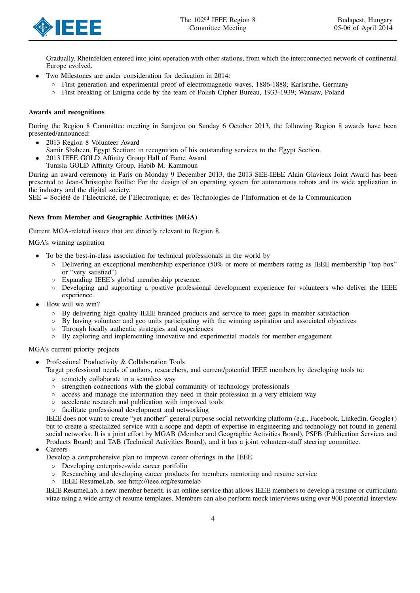

Gradually, Rheinfelden entered into joint operation with other stations, from which the interconnected network of continental Europe evolved.

- *•* Two Milestones are under consideration for dedication in 2014:
	- *◦* First generation and experimental proof of electromagnetic waves, 1886-1888; Karlsruhe, Germany
	- *◦* First breaking of Enigma code by the team of Polish Cipher Bureau, 1933-1939; Warsaw, Poland

# Awards and recognitions

During the Region 8 Committee meeting in Sarajevo on Sunday 6 October 2013, the following Region 8 awards have been presented/announced:

- *•* 2013 Region 8 Volunteer Award
- Samir Shaheen, Egypt Section: in recognition of his outstanding services to the Egypt Section.
- *•* 2013 IEEE GOLD Affinity Group Hall of Fame Award
- Tunisia GOLD Affinity Group, Habib M. Kammoun

During an award ceremony in Paris on Monday 9 December 2013, the 2013 SEE-IEEE Alain Glavieux Joint Award has been presented to Jean-Christophe Baillie: For the design of an operating system for autonomous robots and its wide application in the industry and the digital society.

 $SEE = Société de l'Electricité, de l'Electronique, et des Technologies de l'Information et de la Communication$ 

# News from Member and Geographic Activities (MGA)

Current MGA-related issues that are directly relevant to Region 8.

# MGA's winning aspiration

- *•* To be the best-in-class association for technical professionals in the world by
	- *◦* Delivering an exceptional membership experience (50% or more of members rating as IEEE membership "top box" or "very satisfied")
	- *◦* Expanding IEEE's global membership presence.
	- *◦* Developing and supporting a positive professional development experience for volunteers who deliver the IEEE experience.
- *•* How will we win?
	- *◦* By delivering high quality IEEE branded products and service to meet gaps in member satisfaction
	- *◦* By having volunteer and geo units participating with the winning aspiration and associated objectives
	- Through locally authentic strategies and experiences
	- *◦* By exploring and implementing innovative and experimental models for member engagement

# MGA's current priority projects

- Professional Productivity & Collaboration Tools
	- Target professional needs of authors, researchers, and current/potential IEEE members by developing tools to:
		- *◦* remotely collaborate in a seamless way
		- *◦* strengthen connections with the global community of technology professionals
		- *◦* access and manage the information they need in their profession in a very efficient way
		- *◦* accelerate research and publication with improved tools
		- *◦* facilitate professional development and networking

IEEE does not want to create "yet another" general purpose social networking platform (e.g., Facebook, Linkedin, Google+) but to create a specialized service with a scope and depth of expertise in engineering and technology not found in general social networks. It is a joint effort by MGAB (Member and Geographic Activities Board), PSPB (Publication Services and Products Board) and TAB (Technical Activities Board), and it has a joint volunteer-staff steering committee.

- *•* Careers
	- Develop a comprehensive plan to improve career offerings in the IEEE
		- *◦* Developing enterprise-wide career portfolio
		- Researching and developing career products for members mentoring and resume service
		- *◦* IEEE ResumeLab, see htttp://ieee.org/resumelab

IEEE ResumeLab, a new member benefit, is an online service that allows IEEE members to develop a resume or curriculum vitae using a wide array of resume templates. Members can also perform mock interviews using over 900 potential interview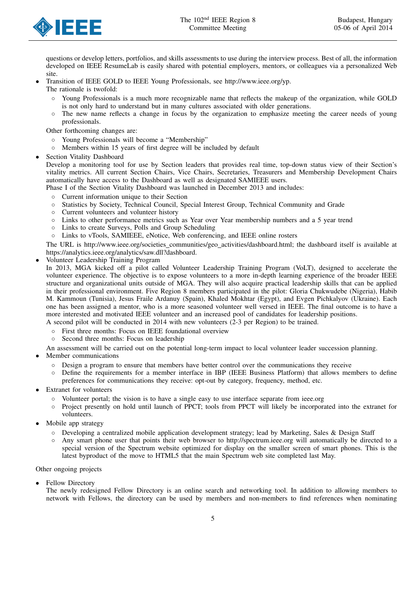

questions or develop letters, portfolios, and skills assessments to use during the interview process. Best of all, the information developed on IEEE ResumeLab is easily shared with potential employers, mentors, or colleagues via a personalized Web site.

*•* Transition of IEEE GOLD to IEEE Young Professionals, see http://www.ieee.org/yp.

The rationale is twofold:

- Young Professionals is a much more recognizable name that reflects the makeup of the organization, while GOLD is not only hard to understand but in many cultures associated with older generations.
- The new name reflects a change in focus by the organization to emphasize meeting the career needs of young professionals.

Other forthcoming changes are:

- *◦* Young Professionals will become a "Membership"
- Members within 15 years of first degree will be included by default
- **Section Vitality Dashboard**

Develop a monitoring tool for use by Section leaders that provides real time, top-down status view of their Section's vitality metrics. All current Section Chairs, Vice Chairs, Secretaries, Treasurers and Membership Development Chairs automatically have access to the Dashboard as well as designated SAMIEEE users.

Phase I of the Section Vitality Dashboard was launched in December 2013 and includes:

- *◦* Current information unique to their Section
- *◦* Statistics by Society, Technical Council, Special Interest Group, Technical Community and Grade
- *◦* Current volunteers and volunteer history
- *◦* Links to other performance metrics such as Year over Year membership numbers and a 5 year trend
- *◦* Links to create Surveys, Polls and Group Scheduling
- *◦* Links to vTools, SAMIEEE, eNotice, Web conferencing, and IEEE online rosters

The URL is http://www.ieee.org/societies communities/geo activities/dashboard.html; the dashboard itself is available at https://analytics.ieee.org/analytics/saw.dll?dashboard.

*•* Volunteer Leadership Training Program

In 2013, MGA kicked off a pilot called Volunteer Leadership Training Program (VoLT), designed to accelerate the volunteer experience. The objective is to expose volunteers to a more in-depth learning experience of the broader IEEE structure and organizational units outside of MGA. They will also acquire practical leadership skills that can be applied in their professional environment. Five Region 8 members participated in the pilot: Gloria Chukwudebe (Nigeria), Habib M. Kammoun (Tunisia), Jesus Fraile Ardanuy (Spain), Khaled Mokhtar (Egypt), and Evgen Pichkalyov (Ukraine). Each one has been assigned a mentor, who is a more seasoned volunteer well versed in IEEE. The final outcome is to have a more interested and motivated IEEE volunteer and an increased pool of candidates for leadership positions.

A second pilot will be conducted in 2014 with new volunteers (2-3 per Region) to be trained.

- *◦* First three months: Focus on IEEE foundational overview
- Second three months: Focus on leadership

An assessment will be carried out on the potential long-term impact to local volunteer leader succession planning. *•* Member communications

- *◦* Design a program to ensure that members have better control over the communications they receive
- *◦* Define the requirements for a member interface in IBP (IEEE Business Platform) that allows members to define preferences for communications they receive: opt-out by category, frequency, method, etc.
- *•* Extranet for volunteers
	- *◦* Volunteer portal; the vision is to have a single easy to use interface separate from ieee.org
	- *◦* Project presently on hold until launch of PPCT; tools from PPCT will likely be incorporated into the extranet for volunteers.
- *•* Mobile app strategy
	- *◦* Developing a centralized mobile application development strategy; lead by Marketing, Sales & Design Staff
	- *◦* Any smart phone user that points their web browser to http://spectrum.ieee.org will automatically be directed to a special version of the Spectrum website optimized for display on the smaller screen of smart phones. This is the latest byproduct of the move to HTML5 that the main Spectrum web site completed last May.

# Other ongoing projects

*•* Fellow Directory

The newly redesigned Fellow Directory is an online search and networking tool. In addition to allowing members to network with Fellows, the directory can be used by members and non-members to find references when nominating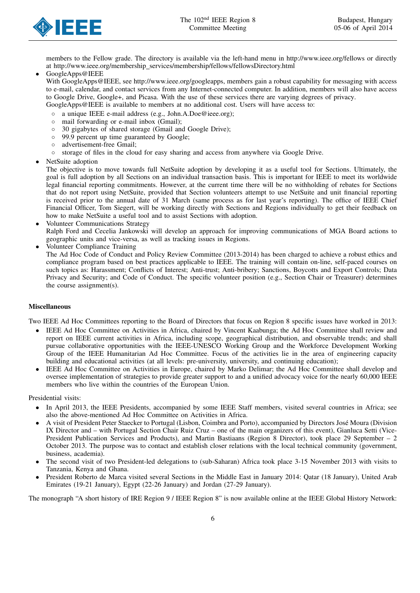

members to the Fellow grade. The directory is available via the left-hand menu in http://www.ieee.org/fellows or directly at http://www.ieee.org/membership services/membership/fellows/fellowsDirectory.html

*•* GoogleApps@IEEE

With GoogleApps@IEEE, see http://www.ieee.org/googleapps, members gain a robust capability for messaging with access to e-mail, calendar, and contact services from any Internet-connected computer. In addition, members will also have access to Google Drive, Google+, and Picasa. With the use of these services there are varying degrees of privacy. GoogleApps@IEEE is available to members at no additional cost. Users will have access to:

- *◦* a unique IEEE e-mail address (e.g., John.A.Doe@ieee.org);
- *◦* mail forwarding or e-mail inbox (Gmail);
- 30 gigabytes of shared storage (Gmail and Google Drive);
- *◦* 99.9 percent up time guaranteed by Google;
- *◦* advertisement-free Gmail;
- storage of files in the cloud for easy sharing and access from anywhere via Google Drive.
- *•* NetSuite adoption

The objective is to move towards full NetSuite adoption by developing it as a useful tool for Sections. Ultimately, the goal is full adoption by all Sections on an individual transaction basis. This is important for IEEE to meet its worldwide legal financial reporting commitments. However, at the current time there will be no withholding of rebates for Sections that do not report using NetSuite, provided that Section volunteers attempt to use NetSuite and unit financial reporting is received prior to the annual date of 31 March (same process as for last year's reporting). The office of IEEE Chief Financial Officer, Tom Siegert, will be working directly with Sections and Regions individually to get their feedback on how to make NetSuite a useful tool and to assist Sections with adoption.

- *•* Volunteer Communications Strategy Ralph Ford and Cecelia Jankowski will develop an approach for improving communications of MGA Board actions to geographic units and vice-versa, as well as tracking issues in Regions.
- *•* Volunteer Compliance Training
- The Ad Hoc Code of Conduct and Policy Review Committee (2013-2014) has been charged to achieve a robust ethics and compliance program based on best practices applicable to IEEE. The training will contain on-line, self-paced courses on such topics as: Harassment; Conflicts of Interest; Anti-trust; Anti-bribery; Sanctions, Boycotts and Export Controls; Data Privacy and Security; and Code of Conduct. The specific volunteer position (e.g., Section Chair or Treasurer) determines the course assignment(s).

# Miscellaneous

Two IEEE Ad Hoc Committees reporting to the Board of Directors that focus on Region 8 specific issues have worked in 2013:

- IEEE Ad Hoc Committee on Activities in Africa, chaired by Vincent Kaabunga; the Ad Hoc Committee shall review and report on IEEE current activities in Africa, including scope, geographical distribution, and observable trends; and shall pursue collaborative opportunities with the IEEE-UNESCO Working Group and the Workforce Development Working Group of the IEEE Humanitarian Ad Hoc Committee. Focus of the activities lie in the area of engineering capacity building and educational activities (at all levels: pre-university, university, and continuing education);
- *•* IEEE Ad Hoc Committee on Activities in Europe, chaired by Marko Delimar; the Ad Hoc Committee shall develop and oversee implementation of strategies to provide greater support to and a unified advocacy voice for the nearly 60,000 IEEE members who live within the countries of the European Union.

Presidential visits:

- In April 2013, the IEEE Presidents, accompanied by some IEEE Staff members, visited several countries in Africa; see also the above-mentioned Ad Hoc Committee on Activities in Africa.
- *•* A visit of President Peter Staecker to Portugal (Lisbon, Coimbra and Porto), accompanied by Directors Jose Moura (Division ´ IX Director and – with Portugal Section Chair Ruiz Cruz – one of the main organizers of this event), Gianluca Setti (Vice-President Publication Services and Products), and Martin Bastiaans (Region 8 Director), took place 29 September – 2 October 2013. The purpose was to contact and establish closer relations with the local technical community (government, business, academia).
- The second visit of two President-led delegations to (sub-Saharan) Africa took place 3-15 November 2013 with visits to Tanzania, Kenya and Ghana.
- *•* President Roberto de Marca visited several Sections in the Middle East in January 2014: Qatar (18 January), United Arab Emirates (19-21 January), Egypt (22-26 January) and Jordan (27-29 January).

The monograph "A short history of IRE Region 9 / IEEE Region 8" is now available online at the IEEE Global History Network: